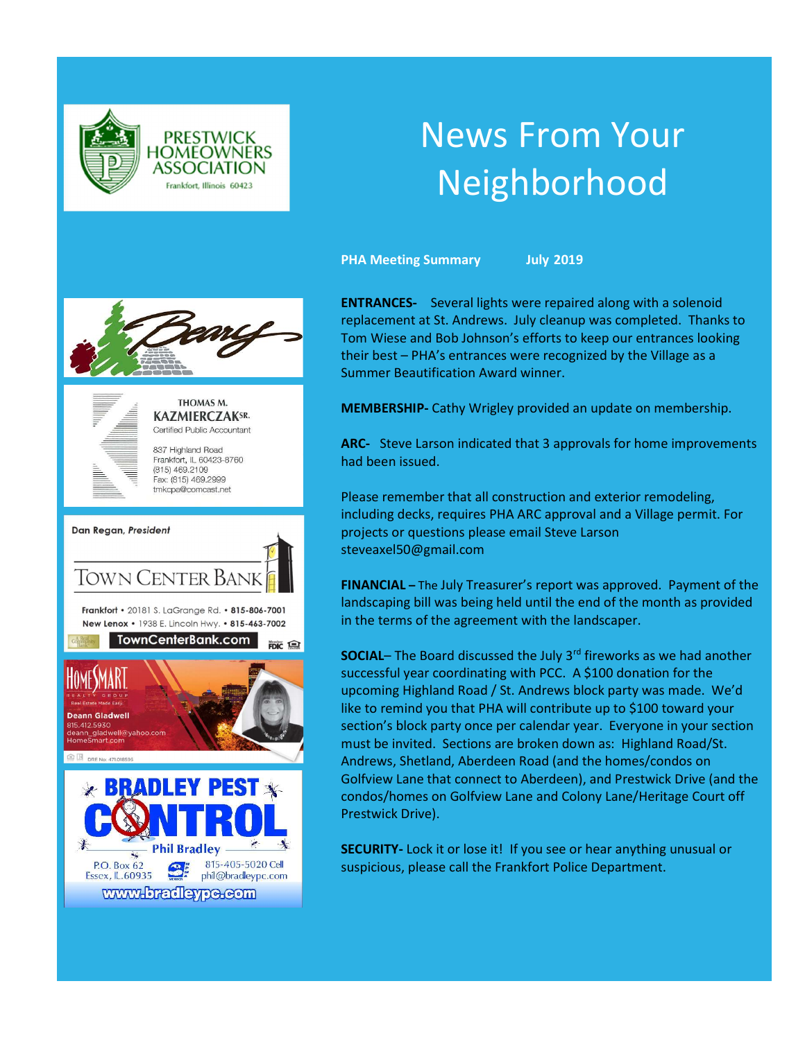

# News From Your Neighborhood

PHA Meeting Summary July 2019





THOMAS M. **KAZMIERCZAKSR.** Certified Public Accountant

837 Highland Road Frankfort, IL 60423-8760  $(815)$  469.2109 Fax: (815) 469.2999 tmkcpa@comcast.net



ENTRANCES- Several lights were repaired along with a solenoid replacement at St. Andrews. July cleanup was completed. Thanks to Tom Wiese and Bob Johnson's efforts to keep our entrances looking their best – PHA's entrances were recognized by the Village as a Summer Beautification Award winner.

MEMBERSHIP- Cathy Wrigley provided an update on membership.

ARC- Steve Larson indicated that 3 approvals for home improvements had been issued.

Please remember that all construction and exterior remodeling, including decks, requires PHA ARC approval and a Village permit. For projects or questions please email Steve Larson steveaxel50@gmail.com

FINANCIAL – The July Treasurer's report was approved. Payment of the landscaping bill was being held until the end of the month as provided in the terms of the agreement with the landscaper.

SOCIAL– The Board discussed the July 3rd fireworks as we had another successful year coordinating with PCC. A \$100 donation for the upcoming Highland Road / St. Andrews block party was made. We'd like to remind you that PHA will contribute up to \$100 toward your section's block party once per calendar year. Everyone in your section must be invited. Sections are broken down as: Highland Road/St. Andrews, Shetland, Aberdeen Road (and the homes/condos on Golfview Lane that connect to Aberdeen), and Prestwick Drive (and the condos/homes on Golfview Lane and Colony Lane/Heritage Court off Prestwick Drive).

SECURITY- Lock it or lose it! If you see or hear anything unusual or suspicious, please call the Frankfort Police Department.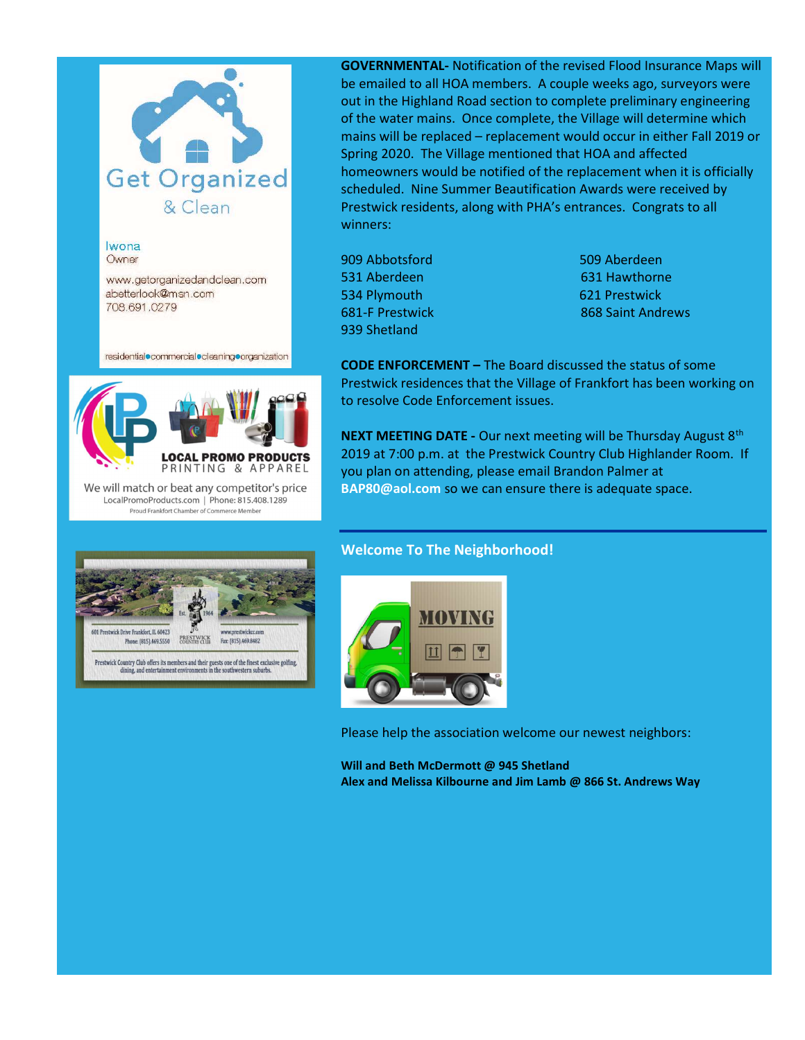

Iwona Owner

Prestwick Drive Frankfort, IL 60423

Phone: (815).469.5550

www.getorganizedandclean.com abetterlook@msn.com 708.691.0279

residential commercial cleaning crganization

 $\overline{\phantom{a}}$ 



We will match or beat any competitor's price LocalPromoProducts.com | Phone: 815.408.1289 Proud Frankfort Chamber of Commerce Member

PRESTWICK<br>COUNTRY CLUB

Prestwick Country Club offers its members and their guests one of the finest exclusive golfing dining, and entertainment environments in the southwestern suburbs.

Fax: (815).469.8482



909 Abbotsford 509 Aberdeen 531 Aberdeen 631 Hawthorne 534 Plymouth 621 Prestwick 939 Shetland

**681-F Prestwick 868 Saint Andrews** 

CODE ENFORCEMENT – The Board discussed the status of some Prestwick residences that the Village of Frankfort has been working on to resolve Code Enforcement issues.

NEXT MEETING DATE - Our next meeting will be Thursday August 8<sup>th</sup> 2019 at 7:00 p.m. at the Prestwick Country Club Highlander Room. If you plan on attending, please email Brandon Palmer at BAP80@aol.com so we can ensure there is adequate space.

## Welcome To The Neighborhood!



Please help the association welcome our newest neighbors:

Will and Beth McDermott @ 945 Shetland Alex and Melissa Kilbourne and Jim Lamb @ 866 St. Andrews Way